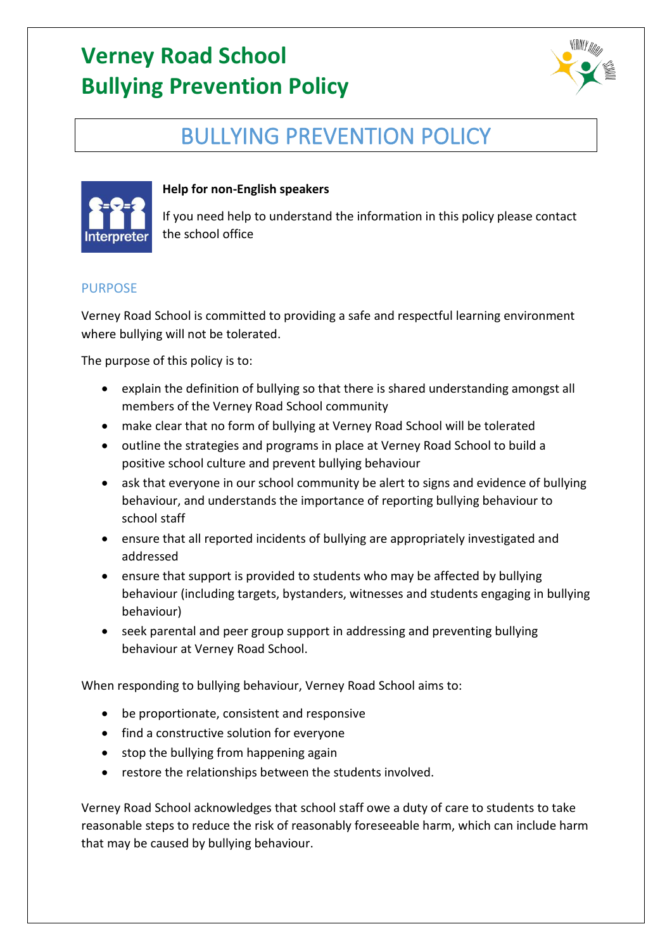

# BULLYING PREVENTION POLICY



### **Help for non-English speakers**

If you need help to understand the information in this policy please contact the school office

#### PURPOSE

Verney Road School is committed to providing a safe and respectful learning environment where bullying will not be tolerated.

The purpose of this policy is to:

- explain the definition of bullying so that there is shared understanding amongst all members of the Verney Road School community
- make clear that no form of bullying at Verney Road School will be tolerated
- outline the strategies and programs in place at Verney Road School to build a positive school culture and prevent bullying behaviour
- ask that everyone in our school community be alert to signs and evidence of bullying behaviour, and understands the importance of reporting bullying behaviour to school staff
- ensure that all reported incidents of bullying are appropriately investigated and addressed
- ensure that support is provided to students who may be affected by bullying behaviour (including targets, bystanders, witnesses and students engaging in bullying behaviour)
- seek parental and peer group support in addressing and preventing bullying behaviour at Verney Road School.

When responding to bullying behaviour, Verney Road School aims to:

- be proportionate, consistent and responsive
- find a constructive solution for everyone
- stop the bullying from happening again
- restore the relationships between the students involved.

Verney Road School acknowledges that school staff owe a duty of care to students to take reasonable steps to reduce the risk of reasonably foreseeable harm, which can include harm that may be caused by bullying behaviour.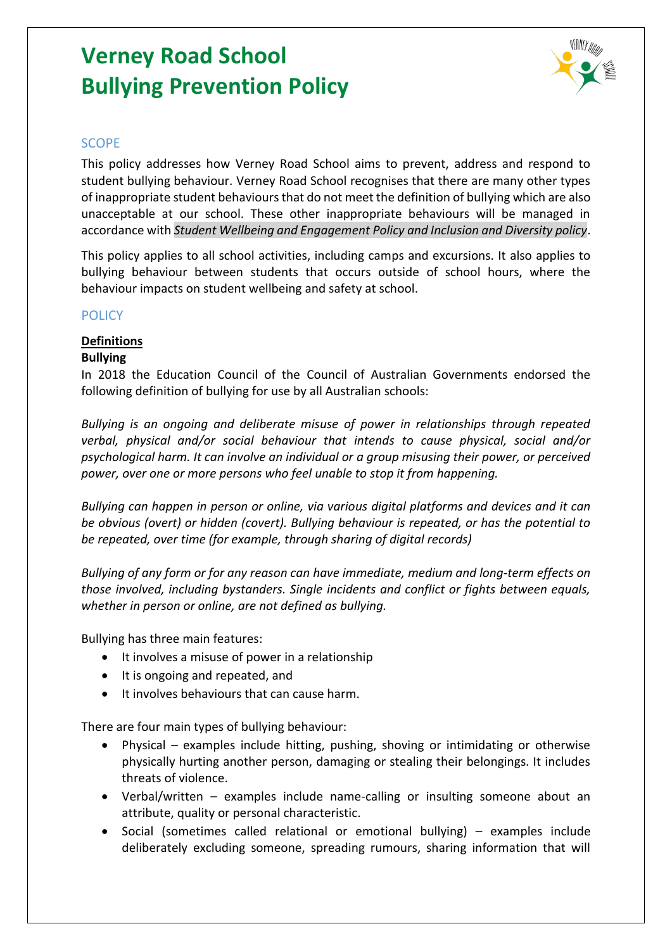

#### **SCOPE**

This policy addresses how Verney Road School aims to prevent, address and respond to student bullying behaviour. Verney Road School recognises that there are many other types of inappropriate student behaviours that do not meet the definition of bullying which are also unacceptable at our school. These other inappropriate behaviours will be managed in accordance with *Student Wellbeing and Engagement Policy and Inclusion and Diversity policy*.

This policy applies to all school activities, including camps and excursions. It also applies to bullying behaviour between students that occurs outside of school hours, where the behaviour impacts on student wellbeing and safety at school.

#### POLICY

### **Definitions**

#### **Bullying**

In 2018 the Education Council of the Council of Australian Governments endorsed the following definition of bullying for use by all Australian schools:

*Bullying is an ongoing and deliberate misuse of power in relationships through repeated verbal, physical and/or social behaviour that intends to cause physical, social and/or psychological harm. It can involve an individual or a group misusing their power, or perceived power, over one or more persons who feel unable to stop it from happening.*

*Bullying can happen in person or online, via various digital platforms and devices and it can be obvious (overt) or hidden (covert). Bullying behaviour is repeated, or has the potential to be repeated, over time (for example, through sharing of digital records)*

*Bullying of any form or for any reason can have immediate, medium and long-term effects on those involved, including bystanders. Single incidents and conflict or fights between equals, whether in person or online, are not defined as bullying.* 

Bullying has three main features:

- It involves a misuse of power in a relationship
- It is ongoing and repeated, and
- It involves behaviours that can cause harm.

There are four main types of bullying behaviour:

- Physical examples include hitting, pushing, shoving or intimidating or otherwise physically hurting another person, damaging or stealing their belongings. It includes threats of violence.
- Verbal/written examples include name-calling or insulting someone about an attribute, quality or personal characteristic.
- Social (sometimes called relational or emotional bullying) examples include deliberately excluding someone, spreading rumours, sharing information that will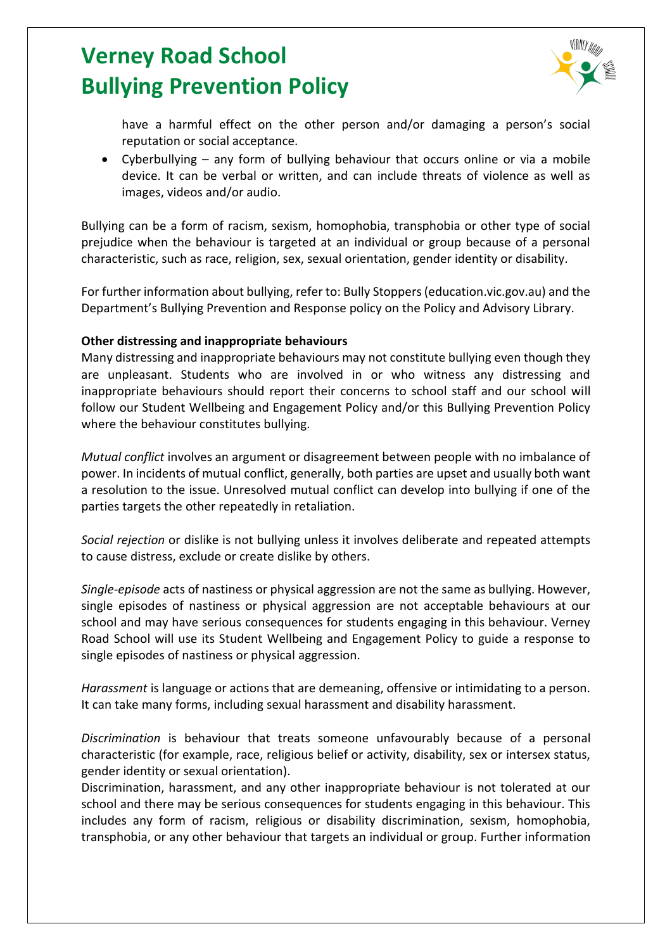

have a harmful effect on the other person and/or damaging a person's social reputation or social acceptance.

• Cyberbullying – any form of bullying behaviour that occurs online or via a mobile device. It can be verbal or written, and can include threats of violence as well as images, videos and/or audio.

Bullying can be a form of racism, sexism, homophobia, transphobia or other type of social prejudice when the behaviour is targeted at an individual or group because of a personal characteristic, such as race, religion, sex, sexual orientation, gender identity or disability.

For further information about bullying, refer to: Bully Stoppers (education.vic.gov.au) and the Department's Bullying Prevention and Response policy on the Policy and Advisory Library.

#### **Other distressing and inappropriate behaviours**

Many distressing and inappropriate behaviours may not constitute bullying even though they are unpleasant. Students who are involved in or who witness any distressing and inappropriate behaviours should report their concerns to school staff and our school will follow our Student Wellbeing and Engagement Policy and/or this Bullying Prevention Policy where the behaviour constitutes bullying.

*Mutual conflict* involves an argument or disagreement between people with no imbalance of power. In incidents of mutual conflict, generally, both parties are upset and usually both want a resolution to the issue. Unresolved mutual conflict can develop into bullying if one of the parties targets the other repeatedly in retaliation.

*Social rejection* or dislike is not bullying unless it involves deliberate and repeated attempts to cause distress, exclude or create dislike by others.

*Single-episode* acts of nastiness or physical aggression are not the same as bullying. However, single episodes of nastiness or physical aggression are not acceptable behaviours at our school and may have serious consequences for students engaging in this behaviour. Verney Road School will use its Student Wellbeing and Engagement Policy to guide a response to single episodes of nastiness or physical aggression.

*Harassment* is language or actions that are demeaning, offensive or intimidating to a person. It can take many forms, including sexual harassment and disability harassment.

*Discrimination* is behaviour that treats someone unfavourably because of a personal characteristic (for example, race, religious belief or activity, disability, sex or intersex status, gender identity or sexual orientation).

Discrimination, harassment, and any other inappropriate behaviour is not tolerated at our school and there may be serious consequences for students engaging in this behaviour. This includes any form of racism, religious or disability discrimination, sexism, homophobia, transphobia, or any other behaviour that targets an individual or group. Further information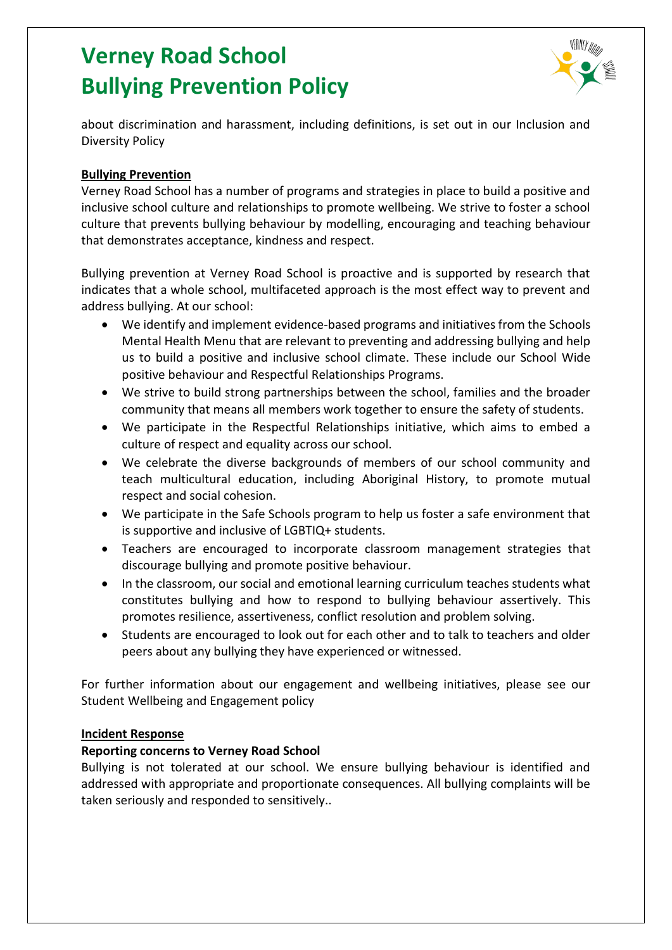

about discrimination and harassment, including definitions, is set out in our Inclusion and Diversity Policy

#### **Bullying Prevention**

Verney Road School has a number of programs and strategies in place to build a positive and inclusive school culture and relationships to promote wellbeing. We strive to foster a school culture that prevents bullying behaviour by modelling, encouraging and teaching behaviour that demonstrates acceptance, kindness and respect.

Bullying prevention at Verney Road School is proactive and is supported by research that indicates that a whole school, multifaceted approach is the most effect way to prevent and address bullying. At our school:

- We identify and implement evidence-based programs and initiatives from the Schools Mental Health Menu that are relevant to preventing and addressing bullying and help us to build a positive and inclusive school climate. These include our School Wide positive behaviour and Respectful Relationships Programs.
- We strive to build strong partnerships between the school, families and the broader community that means all members work together to ensure the safety of students.
- We participate in the Respectful Relationships initiative, which aims to embed a culture of respect and equality across our school.
- We celebrate the diverse backgrounds of members of our school community and teach multicultural education, including Aboriginal History, to promote mutual respect and social cohesion.
- We participate in the Safe Schools program to help us foster a safe environment that is supportive and inclusive of LGBTIQ+ students.
- Teachers are encouraged to incorporate classroom management strategies that discourage bullying and promote positive behaviour.
- In the classroom, our social and emotional learning curriculum teaches students what constitutes bullying and how to respond to bullying behaviour assertively. This promotes resilience, assertiveness, conflict resolution and problem solving.
- Students are encouraged to look out for each other and to talk to teachers and older peers about any bullying they have experienced or witnessed.

For further information about our engagement and wellbeing initiatives, please see our Student Wellbeing and Engagement policy

#### **Incident Response**

#### **Reporting concerns to Verney Road School**

Bullying is not tolerated at our school. We ensure bullying behaviour is identified and addressed with appropriate and proportionate consequences. All bullying complaints will be taken seriously and responded to sensitively..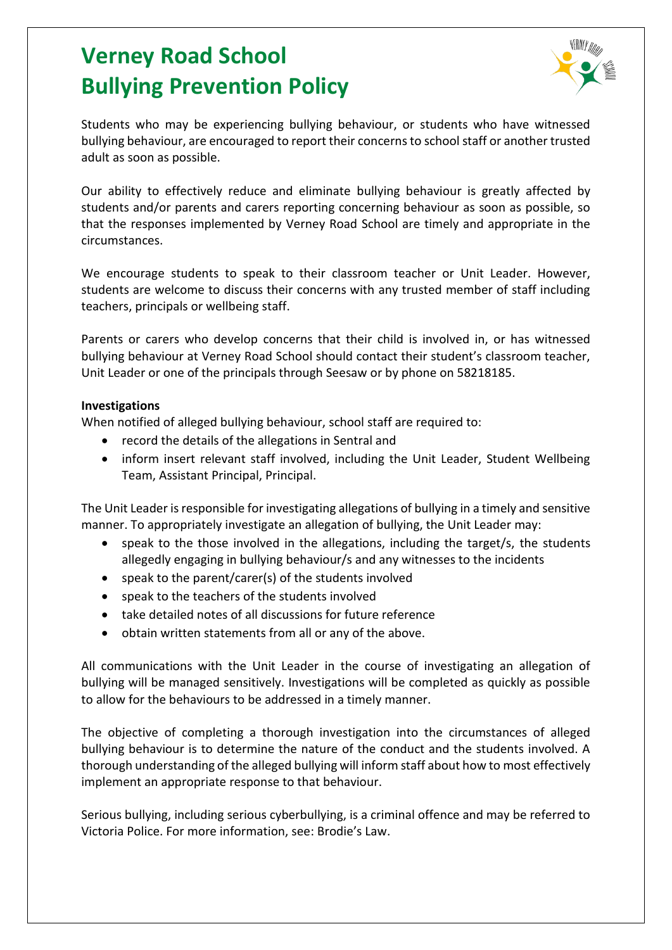

Students who may be experiencing bullying behaviour, or students who have witnessed bullying behaviour, are encouraged to report their concerns to school staff or another trusted adult as soon as possible.

Our ability to effectively reduce and eliminate bullying behaviour is greatly affected by students and/or parents and carers reporting concerning behaviour as soon as possible, so that the responses implemented by Verney Road School are timely and appropriate in the circumstances.

We encourage students to speak to their classroom teacher or Unit Leader. However, students are welcome to discuss their concerns with any trusted member of staff including teachers, principals or wellbeing staff.

Parents or carers who develop concerns that their child is involved in, or has witnessed bullying behaviour at Verney Road School should contact their student's classroom teacher, Unit Leader or one of the principals through Seesaw or by phone on 58218185.

#### **Investigations**

When notified of alleged bullying behaviour, school staff are required to:

- record the details of the allegations in Sentral and
- inform insert relevant staff involved, including the Unit Leader, Student Wellbeing Team, Assistant Principal, Principal.

The Unit Leader is responsible for investigating allegations of bullying in a timely and sensitive manner. To appropriately investigate an allegation of bullying, the Unit Leader may:

- speak to the those involved in the allegations, including the target/s, the students allegedly engaging in bullying behaviour/s and any witnesses to the incidents
- speak to the parent/carer(s) of the students involved
- speak to the teachers of the students involved
- take detailed notes of all discussions for future reference
- obtain written statements from all or any of the above.

All communications with the Unit Leader in the course of investigating an allegation of bullying will be managed sensitively. Investigations will be completed as quickly as possible to allow for the behaviours to be addressed in a timely manner.

The objective of completing a thorough investigation into the circumstances of alleged bullying behaviour is to determine the nature of the conduct and the students involved. A thorough understanding of the alleged bullying will inform staff about how to most effectively implement an appropriate response to that behaviour.

Serious bullying, including serious cyberbullying, is a criminal offence and may be referred to Victoria Police. For more information, see: Brodie's Law.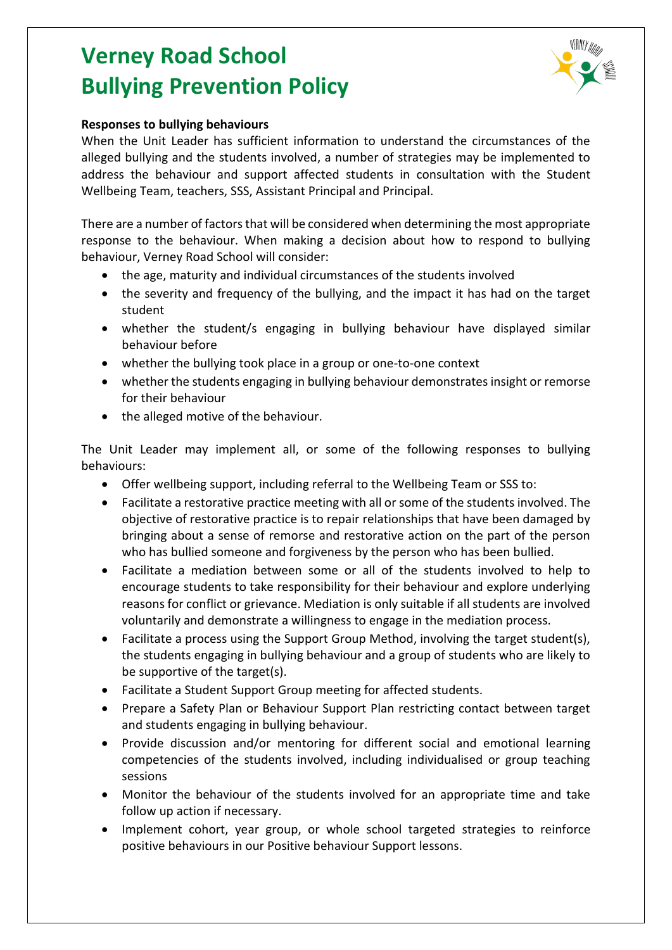

#### **Responses to bullying behaviours**

When the Unit Leader has sufficient information to understand the circumstances of the alleged bullying and the students involved, a number of strategies may be implemented to address the behaviour and support affected students in consultation with the Student Wellbeing Team, teachers, SSS, Assistant Principal and Principal.

There are a number of factors that will be considered when determining the most appropriate response to the behaviour. When making a decision about how to respond to bullying behaviour, Verney Road School will consider:

- the age, maturity and individual circumstances of the students involved
- the severity and frequency of the bullying, and the impact it has had on the target student
- whether the student/s engaging in bullying behaviour have displayed similar behaviour before
- whether the bullying took place in a group or one-to-one context
- whether the students engaging in bullying behaviour demonstrates insight or remorse for their behaviour
- the alleged motive of the behaviour.

The Unit Leader may implement all, or some of the following responses to bullying behaviours:

- Offer wellbeing support, including referral to the Wellbeing Team or SSS to:
- Facilitate a restorative practice meeting with all or some of the students involved. The objective of restorative practice is to repair relationships that have been damaged by bringing about a sense of remorse and restorative action on the part of the person who has bullied someone and forgiveness by the person who has been bullied.
- Facilitate a mediation between some or all of the students involved to help to encourage students to take responsibility for their behaviour and explore underlying reasons for conflict or grievance. Mediation is only suitable if all students are involved voluntarily and demonstrate a willingness to engage in the mediation process.
- Facilitate a process using the Support Group Method, involving the target student(s), the students engaging in bullying behaviour and a group of students who are likely to be supportive of the target(s).
- Facilitate a Student Support Group meeting for affected students.
- Prepare a Safety Plan or Behaviour Support Plan restricting contact between target and students engaging in bullying behaviour.
- Provide discussion and/or mentoring for different social and emotional learning competencies of the students involved, including individualised or group teaching sessions
- Monitor the behaviour of the students involved for an appropriate time and take follow up action if necessary.
- Implement cohort, year group, or whole school targeted strategies to reinforce positive behaviours in our Positive behaviour Support lessons.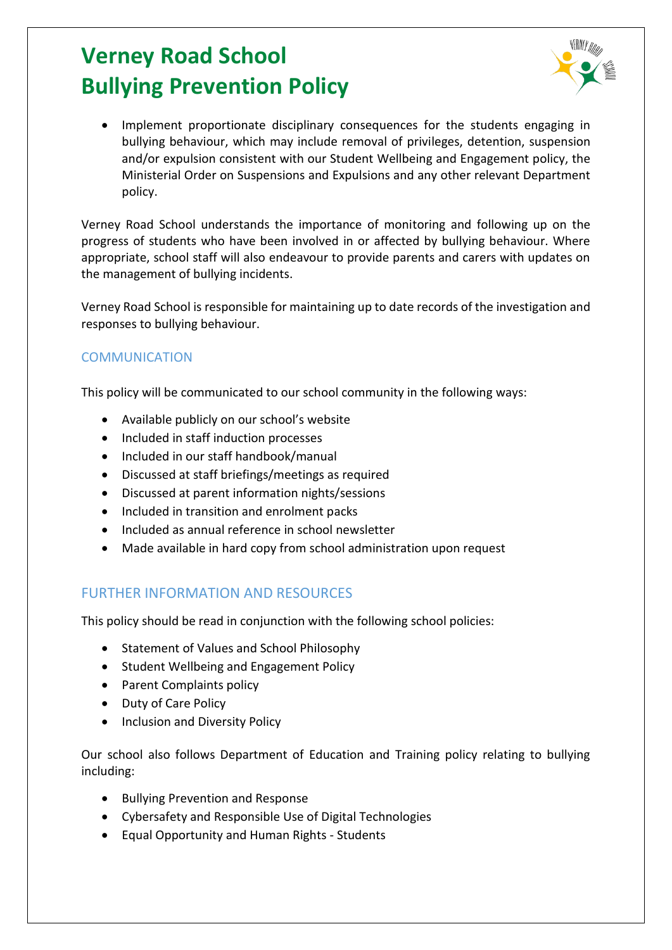

Implement proportionate disciplinary consequences for the students engaging in bullying behaviour, which may include removal of privileges, detention, suspension and/or expulsion consistent with our Student Wellbeing and Engagement policy, the Ministerial Order on Suspensions and Expulsions and any other relevant Department policy.

Verney Road School understands the importance of monitoring and following up on the progress of students who have been involved in or affected by bullying behaviour. Where appropriate, school staff will also endeavour to provide parents and carers with updates on the management of bullying incidents.

Verney Road School is responsible for maintaining up to date records of the investigation and responses to bullying behaviour.

### **COMMUNICATION**

This policy will be communicated to our school community in the following ways:

- Available publicly on our school's website
- Included in staff induction processes
- Included in our staff handbook/manual
- Discussed at staff briefings/meetings as required
- Discussed at parent information nights/sessions
- Included in transition and enrolment packs
- Included as annual reference in school newsletter
- Made available in hard copy from school administration upon request

### FURTHER INFORMATION AND RESOURCES

This policy should be read in conjunction with the following school policies:

- Statement of Values and School Philosophy
- Student Wellbeing and Engagement Policy
- Parent Complaints policy
- Duty of Care Policy
- Inclusion and Diversity Policy

Our school also follows Department of Education and Training policy relating to bullying including:

- Bullying Prevention and Response
- Cybersafety and Responsible Use of Digital Technologies
- Equal Opportunity and Human Rights Students